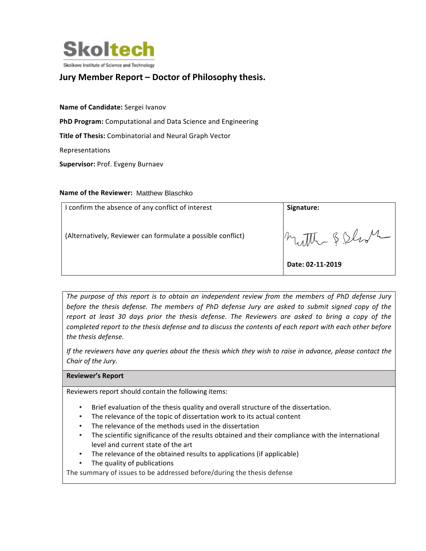

# **Jury Member Report – Doctor of Philosophy thesis.**

**Name of Candidate:** Sergei Ivanov **PhD Program:** Computational and Data Science and Engineering **Title of Thesis:** Combinatorial and Neural Graph Vector Representations **Supervisor: Prof. Evgeny Burnaev** 

#### Name of the Reviewer: Matthew Blaschko

| confirm the absence of any conflict of interest             | Signature:       |
|-------------------------------------------------------------|------------------|
| (Alternatively, Reviewer can formulate a possible conflict) | Mutthe & Shot    |
|                                                             | Date: 02-11-2019 |

The purpose of this report is to obtain an independent review from the members of PhD defense Jury *before the thesis defense. The members of PhD defense Jury are asked to submit signed copy of the report* at least 30 days prior the thesis defense. The Reviewers are asked to bring a copy of the *completed report to the thesis defense and to discuss the contents of each report with each other before* the thesis defense.

*If* the reviewers have any queries about the thesis which they wish to raise in advance, please contact the *Chair of the Jury.*

#### **Reviewer's Report**

Reviewers report should contain the following items:

- Brief evaluation of the thesis quality and overall structure of the dissertation.
- The relevance of the topic of dissertation work to its actual content
- The relevance of the methods used in the dissertation
- The scientific significance of the results obtained and their compliance with the international level and current state of the art
- The relevance of the obtained results to applications (if applicable)
- The quality of publications

The summary of issues to be addressed before/during the thesis defense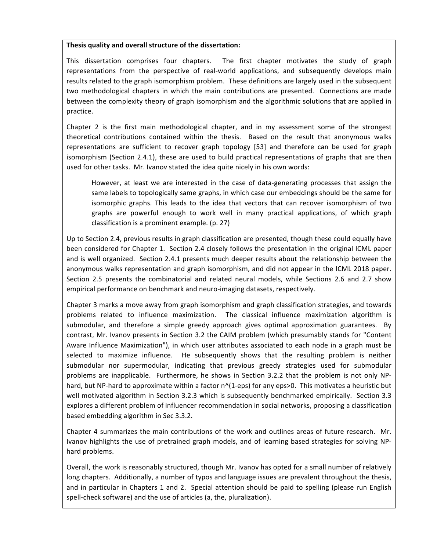#### Thesis quality and overall structure of the dissertation:

This dissertation comprises four chapters. The first chapter motivates the study of graph representations from the perspective of real-world applications, and subsequently develops main results related to the graph isomorphism problem. These definitions are largely used in the subsequent two methodological chapters in which the main contributions are presented. Connections are made between the complexity theory of graph isomorphism and the algorithmic solutions that are applied in practice.

Chapter 2 is the first main methodological chapter, and in my assessment some of the strongest theoretical contributions contained within the thesis. Based on the result that anonymous walks representations are sufficient to recover graph topology [53] and therefore can be used for graph isomorphism (Section 2.4.1), these are used to build practical representations of graphs that are then used for other tasks. Mr. Ivanov stated the idea quite nicely in his own words:

However, at least we are interested in the case of data-generating processes that assign the same labels to topologically same graphs, in which case our embeddings should be the same for isomorphic graphs. This leads to the idea that vectors that can recover isomorphism of two graphs are powerful enough to work well in many practical applications, of which graph classification is a prominent example. (p. 27)

Up to Section 2.4, previous results in graph classification are presented, though these could equally have been considered for Chapter 1. Section 2.4 closely follows the presentation in the original ICML paper and is well organized. Section 2.4.1 presents much deeper results about the relationship between the anonymous walks representation and graph isomorphism, and did not appear in the ICML 2018 paper. Section 2.5 presents the combinatorial and related neural models, while Sections 2.6 and 2.7 show empirical performance on benchmark and neuro-imaging datasets, respectively.

Chapter 3 marks a move away from graph isomorphism and graph classification strategies, and towards problems related to influence maximization. The classical influence maximization algorithm is submodular, and therefore a simple greedy approach gives optimal approximation guarantees. By contrast, Mr. Ivanov presents in Section 3.2 the CAIM problem (which presumably stands for "Content Aware Influence Maximization"), in which user attributes associated to each node in a graph must be selected to maximize influence. He subsequently shows that the resulting problem is neither submodular nor supermodular, indicating that previous greedy strategies used for submodular problems are inapplicable. Furthermore, he shows in Section 3.2.2 that the problem is not only NPhard, but NP-hard to approximate within a factor  $n^2(1-\epsilon)$  for any eps>0. This motivates a heuristic but well motivated algorithm in Section 3.2.3 which is subsequently benchmarked empirically. Section 3.3 explores a different problem of influencer recommendation in social networks, proposing a classification based embedding algorithm in Sec 3.3.2.

Chapter 4 summarizes the main contributions of the work and outlines areas of future research. Mr. Ivanov highlights the use of pretrained graph models, and of learning based strategies for solving NPhard problems.

Overall, the work is reasonably structured, though Mr. Ivanov has opted for a small number of relatively long chapters. Additionally, a number of typos and language issues are prevalent throughout the thesis, and in particular in Chapters 1 and 2. Special attention should be paid to spelling (please run English spell-check software) and the use of articles (a, the, pluralization).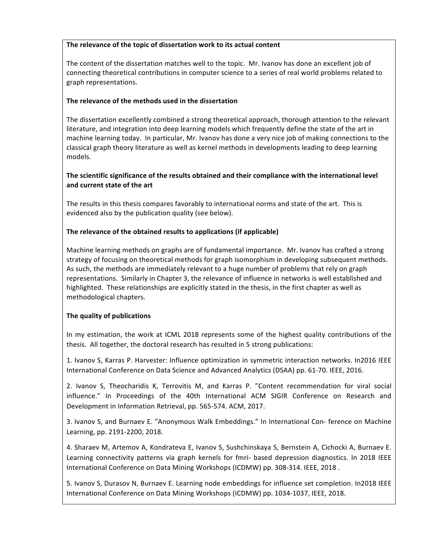# The relevance of the topic of dissertation work to its actual content

The content of the dissertation matches well to the topic. Mr. Ivanov has done an excellent job of connecting theoretical contributions in computer science to a series of real world problems related to graph representations.

# **The relevance of the methods used in the dissertation**

The dissertation excellently combined a strong theoretical approach, thorough attention to the relevant literature, and integration into deep learning models which frequently define the state of the art in machine learning today. In particular, Mr. Ivanov has done a very nice job of making connections to the classical graph theory literature as well as kernel methods in developments leading to deep learning models.

# The scientific significance of the results obtained and their compliance with the international level **and current state of the art**

The results in this thesis compares favorably to international norms and state of the art. This is evidenced also by the publication quality (see below).

# **The relevance of the obtained results to applications (if applicable)**

Machine learning methods on graphs are of fundamental importance. Mr. Ivanov has crafted a strong strategy of focusing on theoretical methods for graph isomorphism in developing subsequent methods. As such, the methods are immediately relevant to a huge number of problems that rely on graph representations. Similarly in Chapter 3, the relevance of influence in networks is well established and highlighted. These relationships are explicitly stated in the thesis, in the first chapter as well as methodological chapters.

#### **The quality of publications**

In my estimation, the work at ICML 2018 represents some of the highest quality contributions of the thesis. All together, the doctoral research has resulted in 5 strong publications:

1. Ivanov S, Karras P. Harvester: Influence optimization in symmetric interaction networks. In2016 IEEE International Conference on Data Science and Advanced Analytics (DSAA) pp. 61-70. IEEE, 2016.

2. Ivanov S, Theocharidis K, Terrovitis M, and Karras P. "Content recommendation for viral social influence." In Proceedings of the 40th International ACM SIGIR Conference on Research and Development in Information Retrieval, pp. 565-574. ACM, 2017.

3. Ivanov S, and Burnaev E. "Anonymous Walk Embeddings." In International Con- ference on Machine Learning, pp. 2191-2200, 2018.

4. Sharaev M, Artemov A, Kondrateva E, Ivanov S, Sushchinskaya S, Bernstein A, Cichocki A, Burnaev E. Learning connectivity patterns via graph kernels for fmri- based depression diagnostics. In 2018 IEEE International Conference on Data Mining Workshops (ICDMW) pp. 308-314. IEEE, 2018.

5. Ivanov S, Durasov N, Burnaev E. Learning node embeddings for influence set completion. In2018 IEEE International Conference on Data Mining Workshops (ICDMW) pp. 1034-1037, IEEE, 2018.